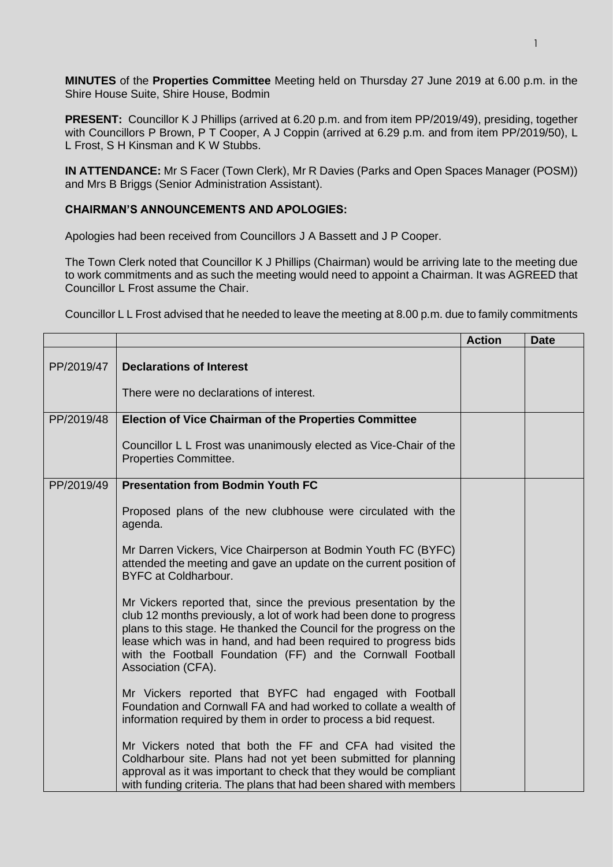**MINUTES** of the **Properties Committee** Meeting held on Thursday 27 June 2019 at 6.00 p.m. in the Shire House Suite, Shire House, Bodmin

**PRESENT:** Councillor K J Phillips (arrived at 6.20 p.m. and from item PP/2019/49), presiding, together with Councillors P Brown, P T Cooper, A J Coppin (arrived at 6.29 p.m. and from item PP/2019/50), L L Frost, S H Kinsman and K W Stubbs.

**IN ATTENDANCE:** Mr S Facer (Town Clerk), Mr R Davies (Parks and Open Spaces Manager (POSM)) and Mrs B Briggs (Senior Administration Assistant).

## **CHAIRMAN'S ANNOUNCEMENTS AND APOLOGIES:**

Apologies had been received from Councillors J A Bassett and J P Cooper.

The Town Clerk noted that Councillor K J Phillips (Chairman) would be arriving late to the meeting due to work commitments and as such the meeting would need to appoint a Chairman. It was AGREED that Councillor L Frost assume the Chair.

Councillor L L Frost advised that he needed to leave the meeting at 8.00 p.m. due to family commitments

|            |                                                                                                                                                                                                                                                                                                                                                                       | <b>Action</b> | <b>Date</b> |
|------------|-----------------------------------------------------------------------------------------------------------------------------------------------------------------------------------------------------------------------------------------------------------------------------------------------------------------------------------------------------------------------|---------------|-------------|
| PP/2019/47 | <b>Declarations of Interest</b>                                                                                                                                                                                                                                                                                                                                       |               |             |
|            | There were no declarations of interest.                                                                                                                                                                                                                                                                                                                               |               |             |
| PP/2019/48 | <b>Election of Vice Chairman of the Properties Committee</b>                                                                                                                                                                                                                                                                                                          |               |             |
|            | Councillor L L Frost was unanimously elected as Vice-Chair of the<br>Properties Committee.                                                                                                                                                                                                                                                                            |               |             |
| PP/2019/49 | <b>Presentation from Bodmin Youth FC</b>                                                                                                                                                                                                                                                                                                                              |               |             |
|            | Proposed plans of the new clubhouse were circulated with the<br>agenda.                                                                                                                                                                                                                                                                                               |               |             |
|            | Mr Darren Vickers, Vice Chairperson at Bodmin Youth FC (BYFC)<br>attended the meeting and gave an update on the current position of<br><b>BYFC at Coldharbour.</b>                                                                                                                                                                                                    |               |             |
|            | Mr Vickers reported that, since the previous presentation by the<br>club 12 months previously, a lot of work had been done to progress<br>plans to this stage. He thanked the Council for the progress on the<br>lease which was in hand, and had been required to progress bids<br>with the Football Foundation (FF) and the Cornwall Football<br>Association (CFA). |               |             |
|            | Mr Vickers reported that BYFC had engaged with Football<br>Foundation and Cornwall FA and had worked to collate a wealth of<br>information required by them in order to process a bid request.                                                                                                                                                                        |               |             |
|            | Mr Vickers noted that both the FF and CFA had visited the<br>Coldharbour site. Plans had not yet been submitted for planning<br>approval as it was important to check that they would be compliant<br>with funding criteria. The plans that had been shared with members                                                                                              |               |             |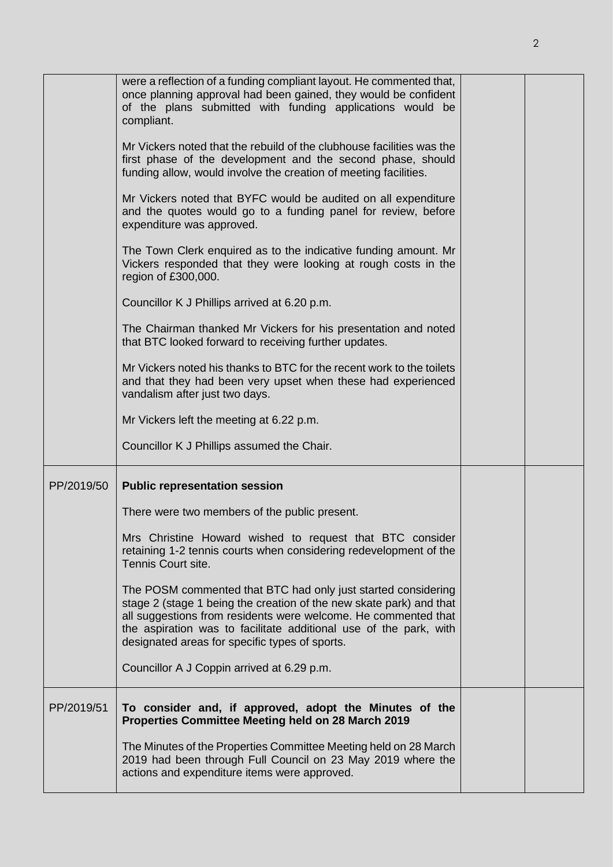|            | were a reflection of a funding compliant layout. He commented that,<br>once planning approval had been gained, they would be confident<br>of the plans submitted with funding applications would be<br>compliant.                                                                                                             |  |
|------------|-------------------------------------------------------------------------------------------------------------------------------------------------------------------------------------------------------------------------------------------------------------------------------------------------------------------------------|--|
|            | Mr Vickers noted that the rebuild of the clubhouse facilities was the<br>first phase of the development and the second phase, should<br>funding allow, would involve the creation of meeting facilities.                                                                                                                      |  |
|            | Mr Vickers noted that BYFC would be audited on all expenditure<br>and the quotes would go to a funding panel for review, before<br>expenditure was approved.                                                                                                                                                                  |  |
|            | The Town Clerk enquired as to the indicative funding amount. Mr<br>Vickers responded that they were looking at rough costs in the<br>region of £300,000.                                                                                                                                                                      |  |
|            | Councillor K J Phillips arrived at 6.20 p.m.                                                                                                                                                                                                                                                                                  |  |
|            | The Chairman thanked Mr Vickers for his presentation and noted<br>that BTC looked forward to receiving further updates.                                                                                                                                                                                                       |  |
|            | Mr Vickers noted his thanks to BTC for the recent work to the toilets<br>and that they had been very upset when these had experienced<br>vandalism after just two days.                                                                                                                                                       |  |
|            | Mr Vickers left the meeting at 6.22 p.m.                                                                                                                                                                                                                                                                                      |  |
|            | Councillor K J Phillips assumed the Chair.                                                                                                                                                                                                                                                                                    |  |
| PP/2019/50 | <b>Public representation session</b>                                                                                                                                                                                                                                                                                          |  |
|            | There were two members of the public present.                                                                                                                                                                                                                                                                                 |  |
|            | Mrs Christine Howard wished to request that BTC consider<br>retaining 1-2 tennis courts when considering redevelopment of the<br>Tennis Court site.                                                                                                                                                                           |  |
|            | The POSM commented that BTC had only just started considering<br>stage 2 (stage 1 being the creation of the new skate park) and that<br>all suggestions from residents were welcome. He commented that<br>the aspiration was to facilitate additional use of the park, with<br>designated areas for specific types of sports. |  |
|            | Councillor A J Coppin arrived at 6.29 p.m.                                                                                                                                                                                                                                                                                    |  |
| PP/2019/51 | To consider and, if approved, adopt the Minutes of the<br>Properties Committee Meeting held on 28 March 2019                                                                                                                                                                                                                  |  |
|            | The Minutes of the Properties Committee Meeting held on 28 March<br>2019 had been through Full Council on 23 May 2019 where the<br>actions and expenditure items were approved.                                                                                                                                               |  |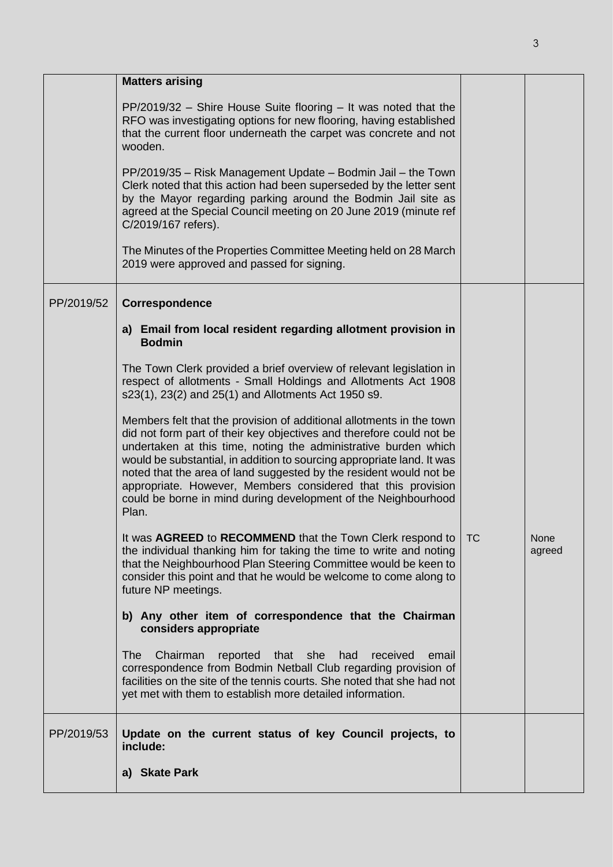|            | <b>Matters arising</b>                                                                                                                                                                                                                                                                                                                                                                                                                                                                                     |           |                |
|------------|------------------------------------------------------------------------------------------------------------------------------------------------------------------------------------------------------------------------------------------------------------------------------------------------------------------------------------------------------------------------------------------------------------------------------------------------------------------------------------------------------------|-----------|----------------|
|            | $PP/2019/32$ – Shire House Suite flooring – It was noted that the<br>RFO was investigating options for new flooring, having established<br>that the current floor underneath the carpet was concrete and not<br>wooden.                                                                                                                                                                                                                                                                                    |           |                |
|            | PP/2019/35 - Risk Management Update - Bodmin Jail - the Town<br>Clerk noted that this action had been superseded by the letter sent<br>by the Mayor regarding parking around the Bodmin Jail site as<br>agreed at the Special Council meeting on 20 June 2019 (minute ref<br>C/2019/167 refers).                                                                                                                                                                                                           |           |                |
|            | The Minutes of the Properties Committee Meeting held on 28 March<br>2019 were approved and passed for signing.                                                                                                                                                                                                                                                                                                                                                                                             |           |                |
| PP/2019/52 | Correspondence                                                                                                                                                                                                                                                                                                                                                                                                                                                                                             |           |                |
|            | a) Email from local resident regarding allotment provision in<br><b>Bodmin</b>                                                                                                                                                                                                                                                                                                                                                                                                                             |           |                |
|            | The Town Clerk provided a brief overview of relevant legislation in<br>respect of allotments - Small Holdings and Allotments Act 1908<br>s23(1), 23(2) and 25(1) and Allotments Act 1950 s9.                                                                                                                                                                                                                                                                                                               |           |                |
|            | Members felt that the provision of additional allotments in the town<br>did not form part of their key objectives and therefore could not be<br>undertaken at this time, noting the administrative burden which<br>would be substantial, in addition to sourcing appropriate land. It was<br>noted that the area of land suggested by the resident would not be<br>appropriate. However, Members considered that this provision<br>could be borne in mind during development of the Neighbourhood<br>Plan. |           |                |
|            | It was AGREED to RECOMMEND that the Town Clerk respond to<br>the individual thanking him for taking the time to write and noting<br>that the Neighbourhood Plan Steering Committee would be keen to<br>consider this point and that he would be welcome to come along to<br>future NP meetings.                                                                                                                                                                                                            | <b>TC</b> | None<br>agreed |
|            | b) Any other item of correspondence that the Chairman<br>considers appropriate                                                                                                                                                                                                                                                                                                                                                                                                                             |           |                |
|            | Chairman<br>reported that she had<br><b>The</b><br>received<br>email<br>correspondence from Bodmin Netball Club regarding provision of<br>facilities on the site of the tennis courts. She noted that she had not<br>yet met with them to establish more detailed information.                                                                                                                                                                                                                             |           |                |
| PP/2019/53 | Update on the current status of key Council projects, to<br>include:                                                                                                                                                                                                                                                                                                                                                                                                                                       |           |                |
|            | a) Skate Park                                                                                                                                                                                                                                                                                                                                                                                                                                                                                              |           |                |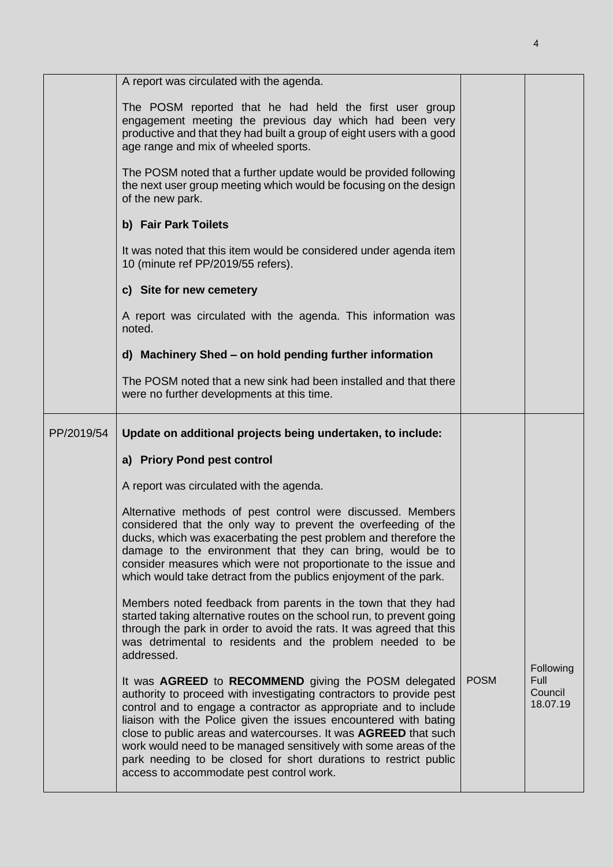|            | A report was circulated with the agenda.                                                                                                                                                                                                                                                                                                                                                                                                                                       |             |                                          |
|------------|--------------------------------------------------------------------------------------------------------------------------------------------------------------------------------------------------------------------------------------------------------------------------------------------------------------------------------------------------------------------------------------------------------------------------------------------------------------------------------|-------------|------------------------------------------|
|            | The POSM reported that he had held the first user group<br>engagement meeting the previous day which had been very<br>productive and that they had built a group of eight users with a good<br>age range and mix of wheeled sports.                                                                                                                                                                                                                                            |             |                                          |
|            | The POSM noted that a further update would be provided following<br>the next user group meeting which would be focusing on the design<br>of the new park.                                                                                                                                                                                                                                                                                                                      |             |                                          |
|            | b) Fair Park Toilets                                                                                                                                                                                                                                                                                                                                                                                                                                                           |             |                                          |
|            | It was noted that this item would be considered under agenda item<br>10 (minute ref PP/2019/55 refers).                                                                                                                                                                                                                                                                                                                                                                        |             |                                          |
|            | c) Site for new cemetery                                                                                                                                                                                                                                                                                                                                                                                                                                                       |             |                                          |
|            | A report was circulated with the agenda. This information was<br>noted.                                                                                                                                                                                                                                                                                                                                                                                                        |             |                                          |
|            | d) Machinery Shed - on hold pending further information                                                                                                                                                                                                                                                                                                                                                                                                                        |             |                                          |
|            | The POSM noted that a new sink had been installed and that there<br>were no further developments at this time.                                                                                                                                                                                                                                                                                                                                                                 |             |                                          |
| PP/2019/54 | Update on additional projects being undertaken, to include:                                                                                                                                                                                                                                                                                                                                                                                                                    |             |                                          |
|            | a) Priory Pond pest control                                                                                                                                                                                                                                                                                                                                                                                                                                                    |             |                                          |
|            | A report was circulated with the agenda.                                                                                                                                                                                                                                                                                                                                                                                                                                       |             |                                          |
|            | Alternative methods of pest control were discussed. Members<br>considered that the only way to prevent the overfeeding of the<br>ducks, which was exacerbating the pest problem and therefore the<br>damage to the environment that they can bring, would be to<br>consider measures which were not proportionate to the issue and<br>which would take detract from the publics enjoyment of the park.                                                                         |             |                                          |
|            | Members noted feedback from parents in the town that they had<br>started taking alternative routes on the school run, to prevent going<br>through the park in order to avoid the rats. It was agreed that this<br>was detrimental to residents and the problem needed to be<br>addressed.                                                                                                                                                                                      |             |                                          |
|            | It was AGREED to RECOMMEND giving the POSM delegated<br>authority to proceed with investigating contractors to provide pest<br>control and to engage a contractor as appropriate and to include<br>liaison with the Police given the issues encountered with bating<br>close to public areas and watercourses. It was AGREED that such<br>work would need to be managed sensitively with some areas of the<br>park needing to be closed for short durations to restrict public | <b>POSM</b> | Following<br>Full<br>Council<br>18.07.19 |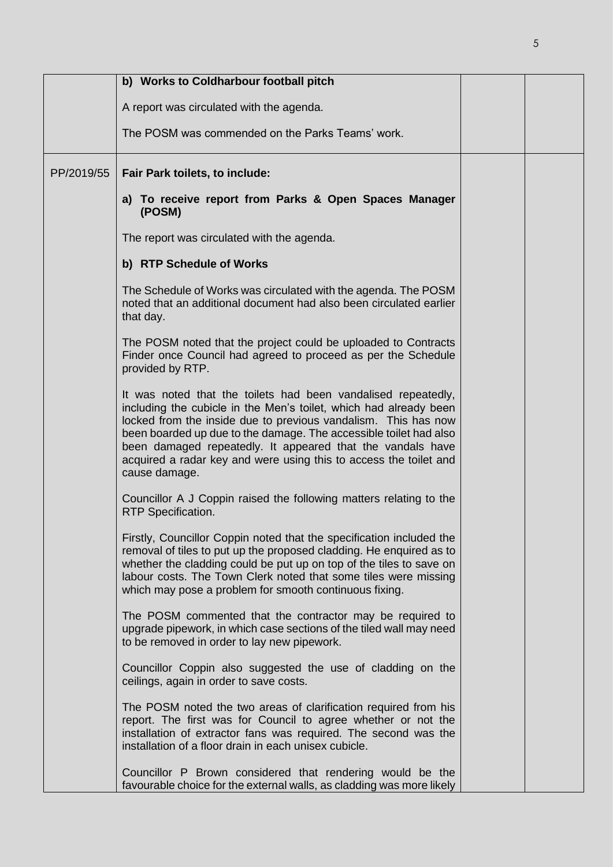|            | b) Works to Coldharbour football pitch                                                                                                                                                                                                                                                                                                                                                                                        |  |
|------------|-------------------------------------------------------------------------------------------------------------------------------------------------------------------------------------------------------------------------------------------------------------------------------------------------------------------------------------------------------------------------------------------------------------------------------|--|
|            | A report was circulated with the agenda.                                                                                                                                                                                                                                                                                                                                                                                      |  |
|            | The POSM was commended on the Parks Teams' work.                                                                                                                                                                                                                                                                                                                                                                              |  |
| PP/2019/55 | Fair Park toilets, to include:                                                                                                                                                                                                                                                                                                                                                                                                |  |
|            | a) To receive report from Parks & Open Spaces Manager<br>(POSM)                                                                                                                                                                                                                                                                                                                                                               |  |
|            | The report was circulated with the agenda.                                                                                                                                                                                                                                                                                                                                                                                    |  |
|            | b) RTP Schedule of Works                                                                                                                                                                                                                                                                                                                                                                                                      |  |
|            | The Schedule of Works was circulated with the agenda. The POSM<br>noted that an additional document had also been circulated earlier<br>that day.                                                                                                                                                                                                                                                                             |  |
|            | The POSM noted that the project could be uploaded to Contracts<br>Finder once Council had agreed to proceed as per the Schedule<br>provided by RTP.                                                                                                                                                                                                                                                                           |  |
|            | It was noted that the toilets had been vandalised repeatedly,<br>including the cubicle in the Men's toilet, which had already been<br>locked from the inside due to previous vandalism. This has now<br>been boarded up due to the damage. The accessible toilet had also<br>been damaged repeatedly. It appeared that the vandals have<br>acquired a radar key and were using this to access the toilet and<br>cause damage. |  |
|            | Councillor A J Coppin raised the following matters relating to the<br><b>RTP Specification.</b>                                                                                                                                                                                                                                                                                                                               |  |
|            | Firstly, Councillor Coppin noted that the specification included the<br>removal of tiles to put up the proposed cladding. He enquired as to<br>whether the cladding could be put up on top of the tiles to save on<br>labour costs. The Town Clerk noted that some tiles were missing<br>which may pose a problem for smooth continuous fixing.                                                                               |  |
|            | The POSM commented that the contractor may be required to<br>upgrade pipework, in which case sections of the tiled wall may need<br>to be removed in order to lay new pipework.                                                                                                                                                                                                                                               |  |
|            | Councillor Coppin also suggested the use of cladding on the<br>ceilings, again in order to save costs.                                                                                                                                                                                                                                                                                                                        |  |
|            | The POSM noted the two areas of clarification required from his<br>report. The first was for Council to agree whether or not the<br>installation of extractor fans was required. The second was the<br>installation of a floor drain in each unisex cubicle.                                                                                                                                                                  |  |
|            | Councillor P Brown considered that rendering would be the<br>favourable choice for the external walls, as cladding was more likely                                                                                                                                                                                                                                                                                            |  |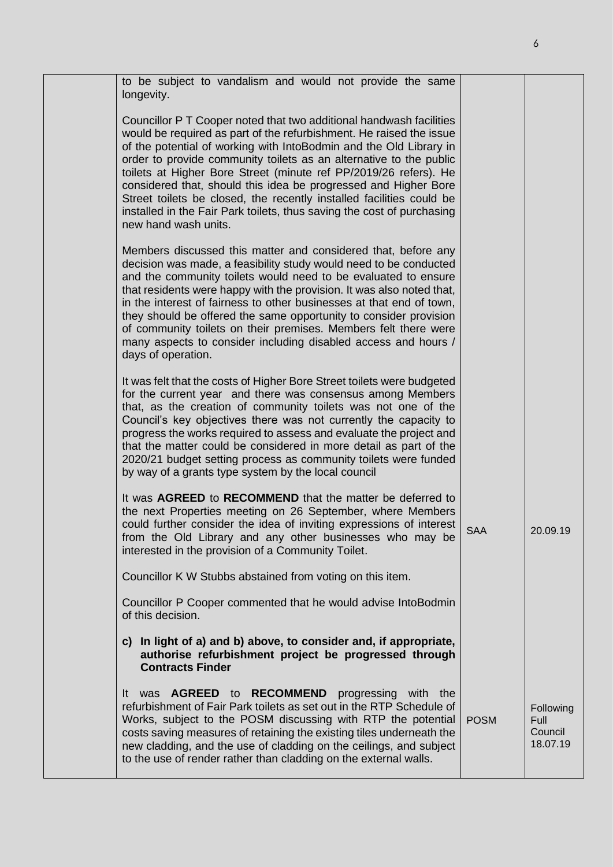| to be subject to vandalism and would not provide the same<br>longevity.<br>Councillor P T Cooper noted that two additional handwash facilities<br>would be required as part of the refurbishment. He raised the issue<br>of the potential of working with IntoBodmin and the Old Library in<br>order to provide community toilets as an alternative to the public<br>toilets at Higher Bore Street (minute ref PP/2019/26 refers). He<br>considered that, should this idea be progressed and Higher Bore<br>Street toilets be closed, the recently installed facilities could be<br>installed in the Fair Park toilets, thus saving the cost of purchasing<br>new hand wash units.<br>Members discussed this matter and considered that, before any<br>decision was made, a feasibility study would need to be conducted<br>and the community toilets would need to be evaluated to ensure<br>that residents were happy with the provision. It was also noted that,<br>in the interest of fairness to other businesses at that end of town,<br>they should be offered the same opportunity to consider provision<br>of community toilets on their premises. Members felt there were<br>many aspects to consider including disabled access and hours /<br>days of operation.<br>It was felt that the costs of Higher Bore Street toilets were budgeted<br>for the current year and there was consensus among Members<br>that, as the creation of community toilets was not one of the<br>Council's key objectives there was not currently the capacity to<br>progress the works required to assess and evaluate the project and<br>that the matter could be considered in more detail as part of the<br>2020/21 budget setting process as community toilets were funded<br>by way of a grants type system by the local council<br>It was AGREED to RECOMMEND that the matter be deferred to<br>the next Properties meeting on 26 September, where Members<br>could further consider the idea of inviting expressions of interest<br><b>SAA</b><br>20.09.19<br>from the Old Library and any other businesses who may be<br>interested in the provision of a Community Toilet.<br>Councillor K W Stubbs abstained from voting on this item.<br>Councillor P Cooper commented that he would advise IntoBodmin<br>of this decision.<br>c) In light of a) and b) above, to consider and, if appropriate,<br>authorise refurbishment project be progressed through<br><b>Contracts Finder</b><br>It was <b>AGREED</b> to <b>RECOMMEND</b> progressing with the<br>refurbishment of Fair Park toilets as set out in the RTP Schedule of<br>Following<br>Works, subject to the POSM discussing with RTP the potential<br>Full<br><b>POSM</b><br>Council<br>costs saving measures of retaining the existing tiles underneath the<br>18.07.19<br>new cladding, and the use of cladding on the ceilings, and subject<br>to the use of render rather than cladding on the external walls. |  |  |  |
|------------------------------------------------------------------------------------------------------------------------------------------------------------------------------------------------------------------------------------------------------------------------------------------------------------------------------------------------------------------------------------------------------------------------------------------------------------------------------------------------------------------------------------------------------------------------------------------------------------------------------------------------------------------------------------------------------------------------------------------------------------------------------------------------------------------------------------------------------------------------------------------------------------------------------------------------------------------------------------------------------------------------------------------------------------------------------------------------------------------------------------------------------------------------------------------------------------------------------------------------------------------------------------------------------------------------------------------------------------------------------------------------------------------------------------------------------------------------------------------------------------------------------------------------------------------------------------------------------------------------------------------------------------------------------------------------------------------------------------------------------------------------------------------------------------------------------------------------------------------------------------------------------------------------------------------------------------------------------------------------------------------------------------------------------------------------------------------------------------------------------------------------------------------------------------------------------------------------------------------------------------------------------------------------------------------------------------------------------------------------------------------------------------------------------------------------------------------------------------------------------------------------------------------------------------------------------------------------------------------------------------------------------------------------------------------------------------------------------------------------------------------------------------------------------------------------------------------------------------------------------------------------------------------------------------------------------------------------------|--|--|--|
|                                                                                                                                                                                                                                                                                                                                                                                                                                                                                                                                                                                                                                                                                                                                                                                                                                                                                                                                                                                                                                                                                                                                                                                                                                                                                                                                                                                                                                                                                                                                                                                                                                                                                                                                                                                                                                                                                                                                                                                                                                                                                                                                                                                                                                                                                                                                                                                                                                                                                                                                                                                                                                                                                                                                                                                                                                                                                                                                                                              |  |  |  |
|                                                                                                                                                                                                                                                                                                                                                                                                                                                                                                                                                                                                                                                                                                                                                                                                                                                                                                                                                                                                                                                                                                                                                                                                                                                                                                                                                                                                                                                                                                                                                                                                                                                                                                                                                                                                                                                                                                                                                                                                                                                                                                                                                                                                                                                                                                                                                                                                                                                                                                                                                                                                                                                                                                                                                                                                                                                                                                                                                                              |  |  |  |
|                                                                                                                                                                                                                                                                                                                                                                                                                                                                                                                                                                                                                                                                                                                                                                                                                                                                                                                                                                                                                                                                                                                                                                                                                                                                                                                                                                                                                                                                                                                                                                                                                                                                                                                                                                                                                                                                                                                                                                                                                                                                                                                                                                                                                                                                                                                                                                                                                                                                                                                                                                                                                                                                                                                                                                                                                                                                                                                                                                              |  |  |  |
|                                                                                                                                                                                                                                                                                                                                                                                                                                                                                                                                                                                                                                                                                                                                                                                                                                                                                                                                                                                                                                                                                                                                                                                                                                                                                                                                                                                                                                                                                                                                                                                                                                                                                                                                                                                                                                                                                                                                                                                                                                                                                                                                                                                                                                                                                                                                                                                                                                                                                                                                                                                                                                                                                                                                                                                                                                                                                                                                                                              |  |  |  |
|                                                                                                                                                                                                                                                                                                                                                                                                                                                                                                                                                                                                                                                                                                                                                                                                                                                                                                                                                                                                                                                                                                                                                                                                                                                                                                                                                                                                                                                                                                                                                                                                                                                                                                                                                                                                                                                                                                                                                                                                                                                                                                                                                                                                                                                                                                                                                                                                                                                                                                                                                                                                                                                                                                                                                                                                                                                                                                                                                                              |  |  |  |
|                                                                                                                                                                                                                                                                                                                                                                                                                                                                                                                                                                                                                                                                                                                                                                                                                                                                                                                                                                                                                                                                                                                                                                                                                                                                                                                                                                                                                                                                                                                                                                                                                                                                                                                                                                                                                                                                                                                                                                                                                                                                                                                                                                                                                                                                                                                                                                                                                                                                                                                                                                                                                                                                                                                                                                                                                                                                                                                                                                              |  |  |  |
|                                                                                                                                                                                                                                                                                                                                                                                                                                                                                                                                                                                                                                                                                                                                                                                                                                                                                                                                                                                                                                                                                                                                                                                                                                                                                                                                                                                                                                                                                                                                                                                                                                                                                                                                                                                                                                                                                                                                                                                                                                                                                                                                                                                                                                                                                                                                                                                                                                                                                                                                                                                                                                                                                                                                                                                                                                                                                                                                                                              |  |  |  |
|                                                                                                                                                                                                                                                                                                                                                                                                                                                                                                                                                                                                                                                                                                                                                                                                                                                                                                                                                                                                                                                                                                                                                                                                                                                                                                                                                                                                                                                                                                                                                                                                                                                                                                                                                                                                                                                                                                                                                                                                                                                                                                                                                                                                                                                                                                                                                                                                                                                                                                                                                                                                                                                                                                                                                                                                                                                                                                                                                                              |  |  |  |
|                                                                                                                                                                                                                                                                                                                                                                                                                                                                                                                                                                                                                                                                                                                                                                                                                                                                                                                                                                                                                                                                                                                                                                                                                                                                                                                                                                                                                                                                                                                                                                                                                                                                                                                                                                                                                                                                                                                                                                                                                                                                                                                                                                                                                                                                                                                                                                                                                                                                                                                                                                                                                                                                                                                                                                                                                                                                                                                                                                              |  |  |  |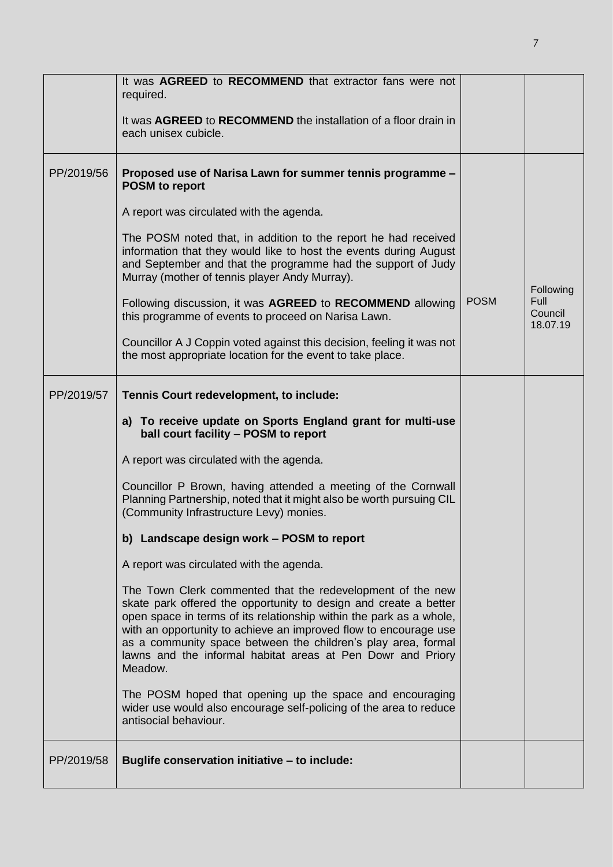|            | It was AGREED to RECOMMEND that extractor fans were not<br>required.                                                                                                                                                                                                                                                                                                                                                 |             |                                    |
|------------|----------------------------------------------------------------------------------------------------------------------------------------------------------------------------------------------------------------------------------------------------------------------------------------------------------------------------------------------------------------------------------------------------------------------|-------------|------------------------------------|
|            | It was AGREED to RECOMMEND the installation of a floor drain in<br>each unisex cubicle.                                                                                                                                                                                                                                                                                                                              |             |                                    |
| PP/2019/56 | Proposed use of Narisa Lawn for summer tennis programme -<br><b>POSM</b> to report                                                                                                                                                                                                                                                                                                                                   |             |                                    |
|            | A report was circulated with the agenda.                                                                                                                                                                                                                                                                                                                                                                             |             |                                    |
|            | The POSM noted that, in addition to the report he had received<br>information that they would like to host the events during August<br>and September and that the programme had the support of Judy<br>Murray (mother of tennis player Andy Murray).                                                                                                                                                                 |             | Following                          |
|            | Following discussion, it was AGREED to RECOMMEND allowing<br>this programme of events to proceed on Narisa Lawn.                                                                                                                                                                                                                                                                                                     | <b>POSM</b> | <b>Full</b><br>Council<br>18.07.19 |
|            | Councillor A J Coppin voted against this decision, feeling it was not<br>the most appropriate location for the event to take place.                                                                                                                                                                                                                                                                                  |             |                                    |
| PP/2019/57 | Tennis Court redevelopment, to include:                                                                                                                                                                                                                                                                                                                                                                              |             |                                    |
|            | a) To receive update on Sports England grant for multi-use<br>ball court facility - POSM to report                                                                                                                                                                                                                                                                                                                   |             |                                    |
|            | A report was circulated with the agenda.                                                                                                                                                                                                                                                                                                                                                                             |             |                                    |
|            | Councillor P Brown, having attended a meeting of the Cornwall<br>Planning Partnership, noted that it might also be worth pursuing CIL<br>(Community Infrastructure Levy) monies.                                                                                                                                                                                                                                     |             |                                    |
|            | b) Landscape design work - POSM to report                                                                                                                                                                                                                                                                                                                                                                            |             |                                    |
|            | A report was circulated with the agenda.                                                                                                                                                                                                                                                                                                                                                                             |             |                                    |
|            | The Town Clerk commented that the redevelopment of the new<br>skate park offered the opportunity to design and create a better<br>open space in terms of its relationship within the park as a whole,<br>with an opportunity to achieve an improved flow to encourage use<br>as a community space between the children's play area, formal<br>lawns and the informal habitat areas at Pen Dowr and Priory<br>Meadow. |             |                                    |
|            | The POSM hoped that opening up the space and encouraging<br>wider use would also encourage self-policing of the area to reduce<br>antisocial behaviour.                                                                                                                                                                                                                                                              |             |                                    |
| PP/2019/58 | Buglife conservation initiative - to include:                                                                                                                                                                                                                                                                                                                                                                        |             |                                    |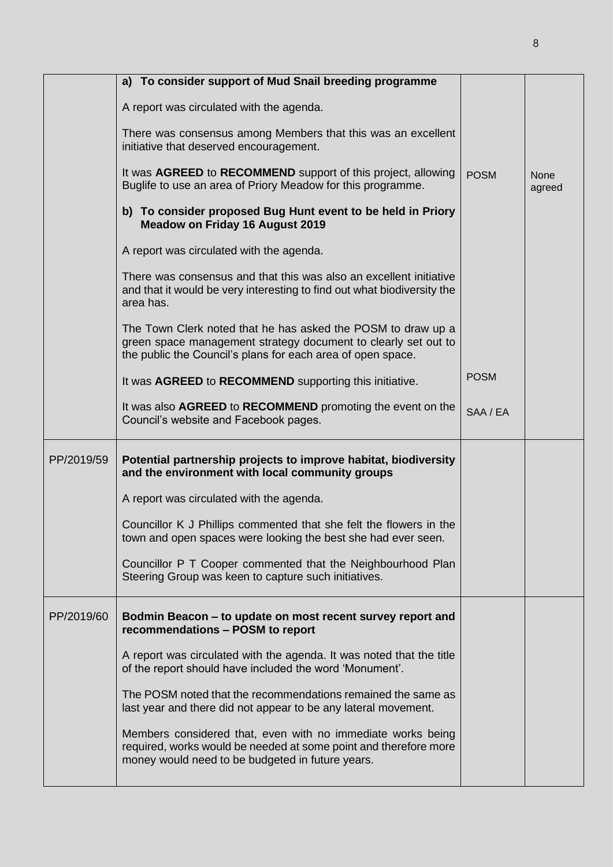|            | a) To consider support of Mud Snail breeding programme                                                                                                                                        |             |                       |
|------------|-----------------------------------------------------------------------------------------------------------------------------------------------------------------------------------------------|-------------|-----------------------|
|            | A report was circulated with the agenda.                                                                                                                                                      |             |                       |
|            | There was consensus among Members that this was an excellent<br>initiative that deserved encouragement.                                                                                       |             |                       |
|            | It was AGREED to RECOMMEND support of this project, allowing<br>Buglife to use an area of Priory Meadow for this programme.                                                                   | <b>POSM</b> | <b>None</b><br>agreed |
|            | b) To consider proposed Bug Hunt event to be held in Priory<br><b>Meadow on Friday 16 August 2019</b>                                                                                         |             |                       |
|            | A report was circulated with the agenda.                                                                                                                                                      |             |                       |
|            | There was consensus and that this was also an excellent initiative<br>and that it would be very interesting to find out what biodiversity the<br>area has.                                    |             |                       |
|            | The Town Clerk noted that he has asked the POSM to draw up a<br>green space management strategy document to clearly set out to<br>the public the Council's plans for each area of open space. |             |                       |
|            | It was AGREED to RECOMMEND supporting this initiative.                                                                                                                                        | <b>POSM</b> |                       |
|            | It was also AGREED to RECOMMEND promoting the event on the<br>Council's website and Facebook pages.                                                                                           | SAA / EA    |                       |
| PP/2019/59 | Potential partnership projects to improve habitat, biodiversity<br>and the environment with local community groups                                                                            |             |                       |
|            | A report was circulated with the agenda.                                                                                                                                                      |             |                       |
|            | Councillor K J Phillips commented that she felt the flowers in the<br>town and open spaces were looking the best she had ever seen.                                                           |             |                       |
|            | Councillor P T Cooper commented that the Neighbourhood Plan<br>Steering Group was keen to capture such initiatives.                                                                           |             |                       |
| PP/2019/60 | Bodmin Beacon - to update on most recent survey report and<br>recommendations - POSM to report                                                                                                |             |                       |
|            | A report was circulated with the agenda. It was noted that the title<br>of the report should have included the word 'Monument'.                                                               |             |                       |
|            | The POSM noted that the recommendations remained the same as<br>last year and there did not appear to be any lateral movement.                                                                |             |                       |
|            | Members considered that, even with no immediate works being<br>required, works would be needed at some point and therefore more<br>money would need to be budgeted in future years.           |             |                       |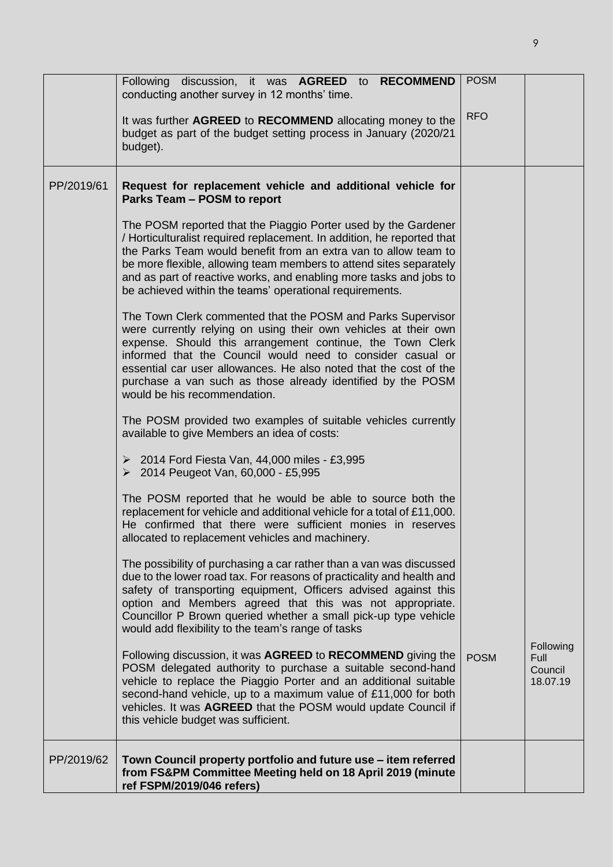|            | Following discussion, it was AGREED to RECOMMEND<br>conducting another survey in 12 months' time.                                                                                                                                                                                                                                                                                                                             | <b>POSM</b> |                                          |
|------------|-------------------------------------------------------------------------------------------------------------------------------------------------------------------------------------------------------------------------------------------------------------------------------------------------------------------------------------------------------------------------------------------------------------------------------|-------------|------------------------------------------|
|            | It was further AGREED to RECOMMEND allocating money to the<br>budget as part of the budget setting process in January (2020/21<br>budget).                                                                                                                                                                                                                                                                                    | <b>RFO</b>  |                                          |
| PP/2019/61 | Request for replacement vehicle and additional vehicle for<br>Parks Team - POSM to report                                                                                                                                                                                                                                                                                                                                     |             |                                          |
|            | The POSM reported that the Piaggio Porter used by the Gardener<br>/ Horticulturalist required replacement. In addition, he reported that<br>the Parks Team would benefit from an extra van to allow team to<br>be more flexible, allowing team members to attend sites separately<br>and as part of reactive works, and enabling more tasks and jobs to<br>be achieved within the teams' operational requirements.            |             |                                          |
|            | The Town Clerk commented that the POSM and Parks Supervisor<br>were currently relying on using their own vehicles at their own<br>expense. Should this arrangement continue, the Town Clerk<br>informed that the Council would need to consider casual or<br>essential car user allowances. He also noted that the cost of the<br>purchase a van such as those already identified by the POSM<br>would be his recommendation. |             |                                          |
|            | The POSM provided two examples of suitable vehicles currently<br>available to give Members an idea of costs:                                                                                                                                                                                                                                                                                                                  |             |                                          |
|            | $\geq 2014$ Ford Fiesta Van, 44,000 miles - £3,995<br>▶ 2014 Peugeot Van, 60,000 - £5,995                                                                                                                                                                                                                                                                                                                                     |             |                                          |
|            | The POSM reported that he would be able to source both the<br>replacement for vehicle and additional vehicle for a total of £11,000.<br>He confirmed that there were sufficient monies in reserves<br>allocated to replacement vehicles and machinery.                                                                                                                                                                        |             |                                          |
|            | The possibility of purchasing a car rather than a van was discussed<br>due to the lower road tax. For reasons of practicality and health and<br>safety of transporting equipment, Officers advised against this<br>option and Members agreed that this was not appropriate.<br>Councillor P Brown queried whether a small pick-up type vehicle<br>would add flexibility to the team's range of tasks                          |             |                                          |
|            | Following discussion, it was AGREED to RECOMMEND giving the<br>POSM delegated authority to purchase a suitable second-hand<br>vehicle to replace the Piaggio Porter and an additional suitable<br>second-hand vehicle, up to a maximum value of £11,000 for both<br>vehicles. It was AGREED that the POSM would update Council if<br>this vehicle budget was sufficient.                                                      | <b>POSM</b> | Following<br>Full<br>Council<br>18.07.19 |
| PP/2019/62 | Town Council property portfolio and future use - item referred<br>from FS&PM Committee Meeting held on 18 April 2019 (minute<br>ref FSPM/2019/046 refers)                                                                                                                                                                                                                                                                     |             |                                          |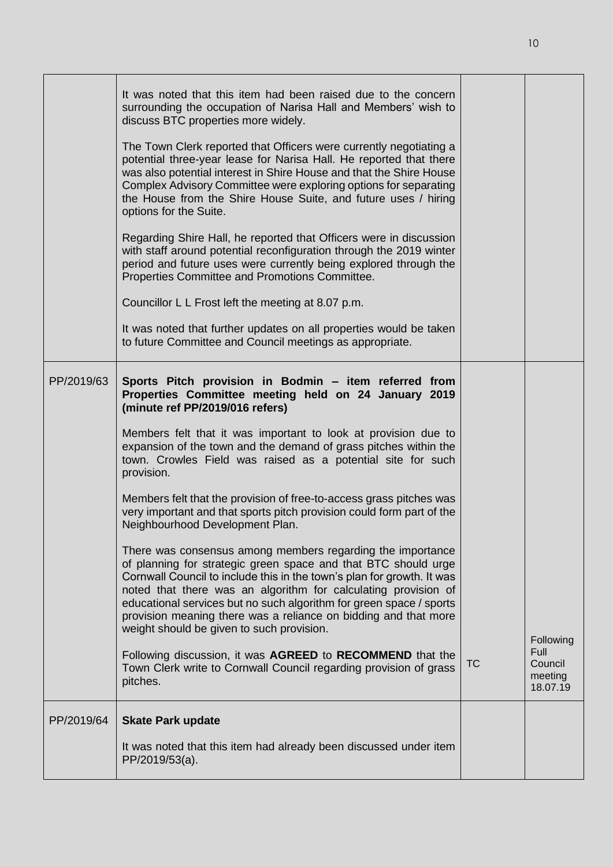|            | It was noted that this item had been raised due to the concern<br>surrounding the occupation of Narisa Hall and Members' wish to<br>discuss BTC properties more widely.                                                                                                                                                                                                                                                                                         |    |                                                     |
|------------|-----------------------------------------------------------------------------------------------------------------------------------------------------------------------------------------------------------------------------------------------------------------------------------------------------------------------------------------------------------------------------------------------------------------------------------------------------------------|----|-----------------------------------------------------|
|            | The Town Clerk reported that Officers were currently negotiating a<br>potential three-year lease for Narisa Hall. He reported that there<br>was also potential interest in Shire House and that the Shire House<br>Complex Advisory Committee were exploring options for separating<br>the House from the Shire House Suite, and future uses / hiring<br>options for the Suite.                                                                                 |    |                                                     |
|            | Regarding Shire Hall, he reported that Officers were in discussion<br>with staff around potential reconfiguration through the 2019 winter<br>period and future uses were currently being explored through the<br>Properties Committee and Promotions Committee.                                                                                                                                                                                                 |    |                                                     |
|            | Councillor L L Frost left the meeting at 8.07 p.m.                                                                                                                                                                                                                                                                                                                                                                                                              |    |                                                     |
|            | It was noted that further updates on all properties would be taken<br>to future Committee and Council meetings as appropriate.                                                                                                                                                                                                                                                                                                                                  |    |                                                     |
| PP/2019/63 | Sports Pitch provision in Bodmin - item referred from<br>Properties Committee meeting held on 24 January 2019<br>(minute ref PP/2019/016 refers)<br>Members felt that it was important to look at provision due to<br>expansion of the town and the demand of grass pitches within the<br>town. Crowles Field was raised as a potential site for such<br>provision.<br>Members felt that the provision of free-to-access grass pitches was                      |    |                                                     |
|            | very important and that sports pitch provision could form part of the<br>Neighbourhood Development Plan.                                                                                                                                                                                                                                                                                                                                                        |    |                                                     |
|            | There was consensus among members regarding the importance<br>of planning for strategic green space and that BTC should urge<br>Cornwall Council to include this in the town's plan for growth. It was<br>noted that there was an algorithm for calculating provision of<br>educational services but no such algorithm for green space / sports<br>provision meaning there was a reliance on bidding and that more<br>weight should be given to such provision. |    |                                                     |
|            | Following discussion, it was AGREED to RECOMMEND that the<br>Town Clerk write to Cornwall Council regarding provision of grass<br>pitches.                                                                                                                                                                                                                                                                                                                      | ТC | Following<br>Full<br>Council<br>meeting<br>18.07.19 |
| PP/2019/64 | <b>Skate Park update</b>                                                                                                                                                                                                                                                                                                                                                                                                                                        |    |                                                     |
|            | It was noted that this item had already been discussed under item<br>PP/2019/53(a).                                                                                                                                                                                                                                                                                                                                                                             |    |                                                     |